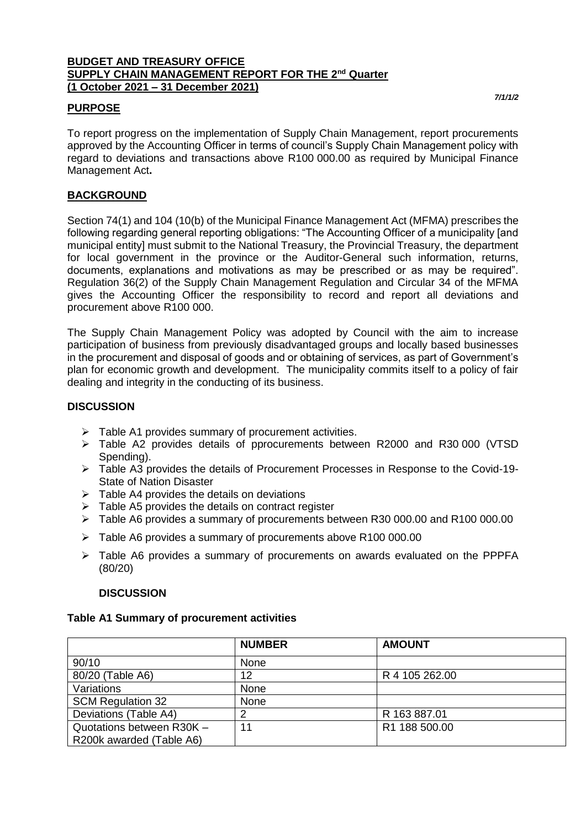#### **BUDGET AND TREASURY OFFICE SUPPLY CHAIN MANAGEMENT REPORT FOR THE 2nd Quarter (1 October 2021 – 31 December 2021)**

## **PURPOSE**

To report progress on the implementation of Supply Chain Management, report procurements approved by the Accounting Officer in terms of council's Supply Chain Management policy with regard to deviations and transactions above R100 000.00 as required by Municipal Finance Management Act**.**

## **BACKGROUND**

Section 74(1) and 104 (10(b) of the Municipal Finance Management Act (MFMA) prescribes the following regarding general reporting obligations: "The Accounting Officer of a municipality [and municipal entity] must submit to the National Treasury, the Provincial Treasury, the department for local government in the province or the Auditor-General such information, returns, documents, explanations and motivations as may be prescribed or as may be required". Regulation 36(2) of the Supply Chain Management Regulation and Circular 34 of the MFMA gives the Accounting Officer the responsibility to record and report all deviations and procurement above R100 000.

The Supply Chain Management Policy was adopted by Council with the aim to increase participation of business from previously disadvantaged groups and locally based businesses in the procurement and disposal of goods and or obtaining of services, as part of Government's plan for economic growth and development. The municipality commits itself to a policy of fair dealing and integrity in the conducting of its business.

## **DISCUSSION**

- $\triangleright$  Table A1 provides summary of procurement activities.
- Table A2 provides details of pprocurements between R2000 and R30 000 (VTSD Spending).
- Table A3 provides the details of Procurement Processes in Response to the Covid-19- State of Nation Disaster
- $\triangleright$  Table A4 provides the details on deviations
- $\triangleright$  Table A5 provides the details on contract register
- Table A6 provides a summary of procurements between R30 000.00 and R100 000.00
- Table A6 provides a summary of procurements above R100 000.00
- $\triangleright$  Table A6 provides a summary of procurements on awards evaluated on the PPPFA (80/20)

### **DISCUSSION**

### **Table A1 Summary of procurement activities**

|                           | <b>NUMBER</b> | <b>AMOUNT</b>  |  |
|---------------------------|---------------|----------------|--|
| 90/10                     | None          |                |  |
| 80/20 (Table A6)          | 12            | R 4 105 262.00 |  |
| Variations                | None          |                |  |
| <b>SCM Regulation 32</b>  | None          |                |  |
| Deviations (Table A4)     | 2             | R 163 887.01   |  |
| Quotations between R30K - | 11            | R1 188 500.00  |  |
| R200k awarded (Table A6)  |               |                |  |

*7/1/1/2*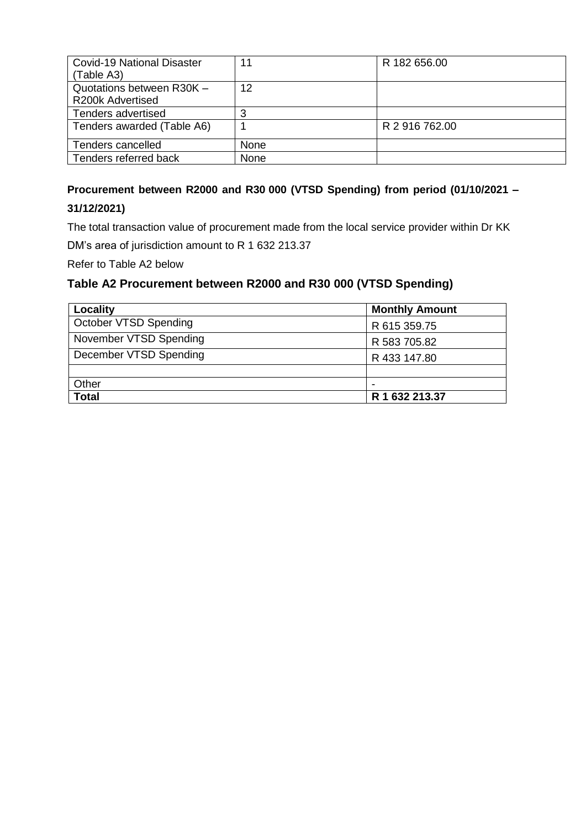| <b>Covid-19 National Disaster</b> | 11   | R 182 656.00   |
|-----------------------------------|------|----------------|
| (Table A3)                        |      |                |
| Quotations between R30K -         | 12   |                |
| R200k Advertised                  |      |                |
| Tenders advertised                |      |                |
| Tenders awarded (Table A6)        |      | R 2 916 762.00 |
| Tenders cancelled                 | None |                |
| Tenders referred back             | None |                |

# **Procurement between R2000 and R30 000 (VTSD Spending) from period (01/10/2021 –**

## **31/12/2021)**

The total transaction value of procurement made from the local service provider within Dr KK DM's area of jurisdiction amount to R 1 632 213.37

Refer to Table A2 below

# **Table A2 Procurement between R2000 and R30 000 (VTSD Spending)**

| Locality               | <b>Monthly Amount</b> |  |  |  |
|------------------------|-----------------------|--|--|--|
| October VTSD Spending  | R 615 359.75          |  |  |  |
| November VTSD Spending | R 583 705.82          |  |  |  |
| December VTSD Spending | R 433 147.80          |  |  |  |
|                        |                       |  |  |  |
| Other                  |                       |  |  |  |
| <b>Total</b>           | R 1 632 213.37        |  |  |  |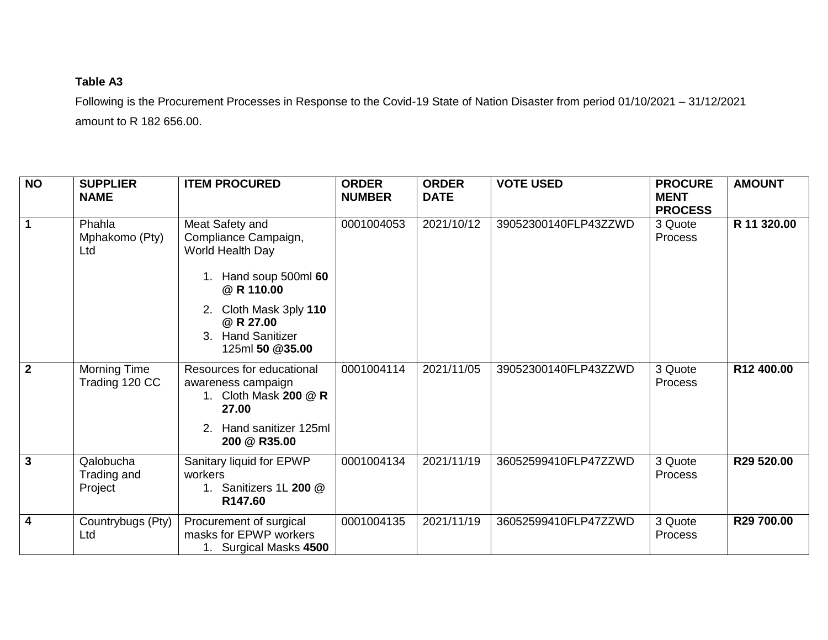# **Table A3**

Following is the Procurement Processes in Response to the Covid-19 State of Nation Disaster from period 01/10/2021 – 31/12/2021 amount to R 182 656.00.

| <b>NO</b>      | <b>SUPPLIER</b><br><b>NAME</b>      | <b>ITEM PROCURED</b>                                                                                                                                                                        | <b>ORDER</b><br><b>NUMBER</b> | <b>ORDER</b><br><b>DATE</b> | <b>VOTE USED</b>     | <b>PROCURE</b><br><b>MENT</b><br><b>PROCESS</b> | <b>AMOUNT</b>          |
|----------------|-------------------------------------|---------------------------------------------------------------------------------------------------------------------------------------------------------------------------------------------|-------------------------------|-----------------------------|----------------------|-------------------------------------------------|------------------------|
| $\overline{1}$ | Phahla<br>Mphakomo (Pty)<br>Ltd     | Meat Safety and<br>Compliance Campaign,<br>World Health Day<br>1. Hand soup 500ml 60<br>@ R 110.00<br>2. Cloth Mask 3ply 110<br>@ R 27.00<br><b>Hand Sanitizer</b><br>3.<br>125ml 50 @35.00 | 0001004053                    | 2021/10/12                  | 39052300140FLP43ZZWD | 3 Quote<br>Process                              | R 11 320.00            |
| $\overline{2}$ | Morning Time<br>Trading 120 CC      | Resources for educational<br>awareness campaign<br>1. Cloth Mask 200 @ R<br>27.00<br>Hand sanitizer 125ml<br>200 @ R35.00                                                                   | 0001004114                    | 2021/11/05                  | 39052300140FLP43ZZWD | 3 Quote<br><b>Process</b>                       | R <sub>12</sub> 400.00 |
| $\overline{3}$ | Qalobucha<br>Trading and<br>Project | Sanitary liquid for EPWP<br>workers<br>1. Sanitizers 1L 200 @<br>R147.60                                                                                                                    | 0001004134                    | 2021/11/19                  | 36052599410FLP47ZZWD | 3 Quote<br><b>Process</b>                       | R29 520.00             |
| $\overline{4}$ | Countrybugs (Pty)<br>Ltd            | Procurement of surgical<br>masks for EPWP workers<br>1. Surgical Masks 4500                                                                                                                 | 0001004135                    | 2021/11/19                  | 36052599410FLP47ZZWD | 3 Quote<br><b>Process</b>                       | R29 700.00             |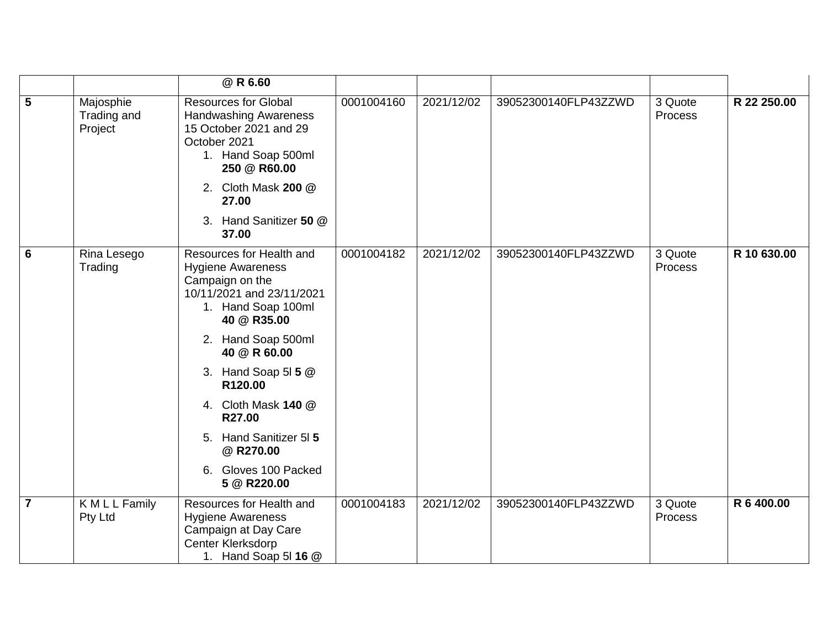|                         |                                     | @ R 6.60                                                                                                                                                                                                                                                                                                                        |            |            |                      |                    |             |
|-------------------------|-------------------------------------|---------------------------------------------------------------------------------------------------------------------------------------------------------------------------------------------------------------------------------------------------------------------------------------------------------------------------------|------------|------------|----------------------|--------------------|-------------|
| $5\overline{5}$         | Majosphie<br>Trading and<br>Project | <b>Resources for Global</b><br><b>Handwashing Awareness</b><br>15 October 2021 and 29<br>October 2021<br>1. Hand Soap 500ml<br>250 @ R60.00<br>2. Cloth Mask 200 @<br>27.00                                                                                                                                                     | 0001004160 | 2021/12/02 | 39052300140FLP43ZZWD | 3 Quote<br>Process | R 22 250.00 |
|                         |                                     | 3. Hand Sanitizer 50 @<br>37.00                                                                                                                                                                                                                                                                                                 |            |            |                      |                    |             |
| 6                       | Rina Lesego<br>Trading              | Resources for Health and<br><b>Hygiene Awareness</b><br>Campaign on the<br>10/11/2021 and 23/11/2021<br>1. Hand Soap 100ml<br>40 @ R35.00<br>2. Hand Soap 500ml<br>40 @ R 60.00<br>3. Hand Soap 51 5 @<br>R120.00<br>4. Cloth Mask 140 @<br>R27.00<br>5. Hand Sanitizer 515<br>@ R270.00<br>6. Gloves 100 Packed<br>5 @ R220.00 | 0001004182 | 2021/12/02 | 39052300140FLP43ZZWD | 3 Quote<br>Process | R 10 630.00 |
| $\overline{\mathbf{7}}$ | K M L L Family<br>Pty Ltd           | Resources for Health and<br><b>Hygiene Awareness</b><br>Campaign at Day Care<br>Center Klerksdorp<br>1. Hand Soap 5 16 @                                                                                                                                                                                                        | 0001004183 | 2021/12/02 | 39052300140FLP43ZZWD | 3 Quote<br>Process | R 6 400.00  |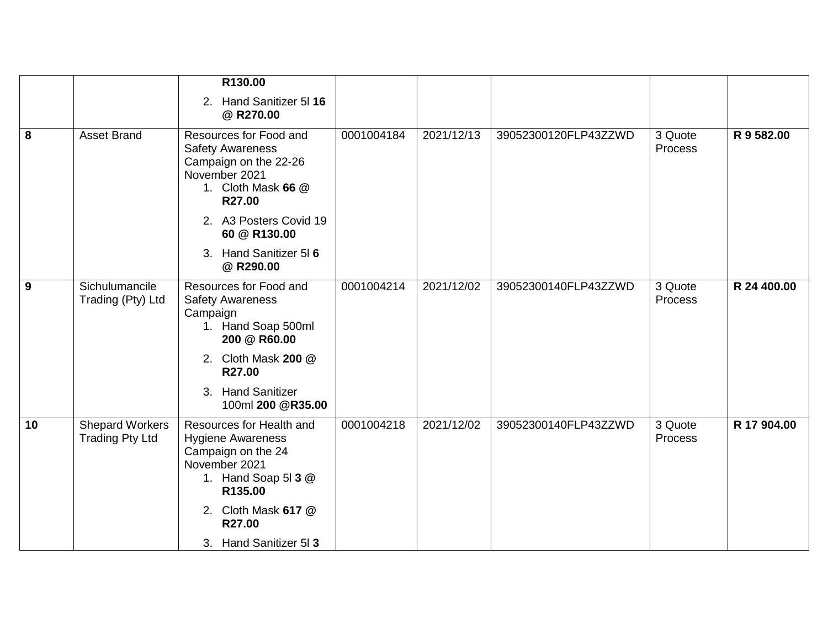|    |                                                  | R130.00                                                                                                                                              |            |            |                      |                    |             |
|----|--------------------------------------------------|------------------------------------------------------------------------------------------------------------------------------------------------------|------------|------------|----------------------|--------------------|-------------|
|    |                                                  | 2. Hand Sanitizer 5116<br>@ R270.00                                                                                                                  |            |            |                      |                    |             |
| 8  | <b>Asset Brand</b>                               | Resources for Food and<br><b>Safety Awareness</b><br>Campaign on the 22-26<br>November 2021<br>1. Cloth Mask 66 @<br>R27.00                          |            | 2021/12/13 | 39052300120FLP43ZZWD | 3 Quote<br>Process | R 9 582.00  |
|    |                                                  | 2. A3 Posters Covid 19<br>60 @ R130.00                                                                                                               |            |            |                      |                    |             |
|    |                                                  | 3. Hand Sanitizer 516<br>@ R290.00                                                                                                                   |            |            |                      |                    |             |
| 9  | Sichulumancile<br>Trading (Pty) Ltd              | Resources for Food and<br><b>Safety Awareness</b><br>Campaign<br>1. Hand Soap 500ml<br>200 @ R60.00                                                  | 0001004214 | 2021/12/02 | 39052300140FLP43ZZWD | 3 Quote<br>Process | R 24 400.00 |
|    |                                                  | 2. Cloth Mask 200 @<br>R27.00                                                                                                                        |            |            |                      |                    |             |
|    |                                                  | <b>Hand Sanitizer</b><br>3 <sub>1</sub><br>100ml 200 @R35.00                                                                                         |            |            |                      |                    |             |
| 10 | <b>Shepard Workers</b><br><b>Trading Pty Ltd</b> | Resources for Health and<br><b>Hygiene Awareness</b><br>Campaign on the 24<br>November 2021<br>1. Hand Soap 51 3 @<br>R135.00<br>2. Cloth Mask 617 @ | 0001004218 | 2021/12/02 | 39052300140FLP43ZZWD | 3 Quote<br>Process | R 17 904.00 |
|    |                                                  | R27.00<br>3. Hand Sanitizer 513                                                                                                                      |            |            |                      |                    |             |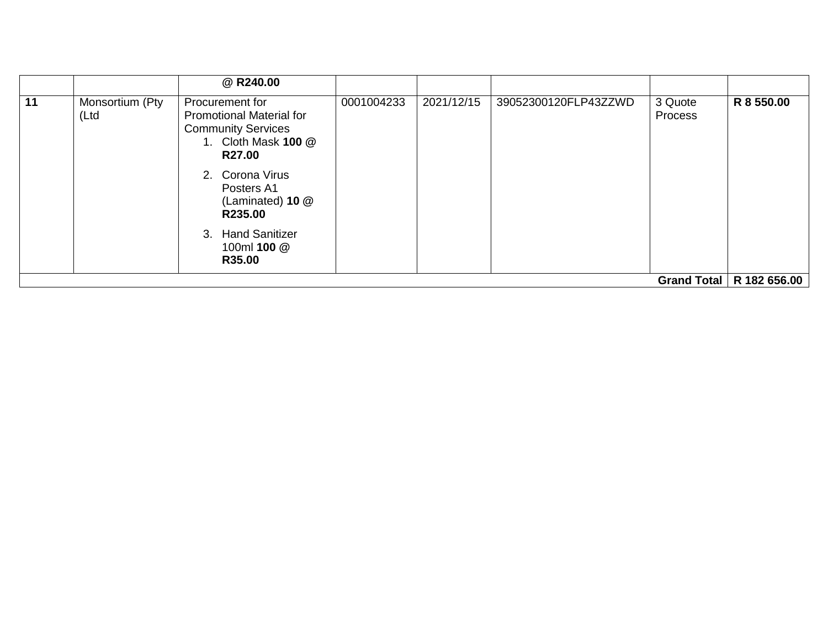|    |                          | @ R240.00                                                                                                                                                                                                                             |            |            |                      |                    |                            |
|----|--------------------------|---------------------------------------------------------------------------------------------------------------------------------------------------------------------------------------------------------------------------------------|------------|------------|----------------------|--------------------|----------------------------|
| 11 | Monsortium (Pty<br>(Ltd) | Procurement for<br><b>Promotional Material for</b><br><b>Community Services</b><br>1. Cloth Mask 100 @<br><b>R27.00</b><br>2. Corona Virus<br>Posters A1<br>(Laminated) 10 @<br>R235.00<br>3. Hand Sanitizer<br>100ml 100 @<br>R35.00 | 0001004233 | 2021/12/15 | 39052300120FLP43ZZWD | 3 Quote<br>Process | R 8 550.00                 |
|    |                          |                                                                                                                                                                                                                                       |            |            |                      |                    | Grand Total   R 182 656.00 |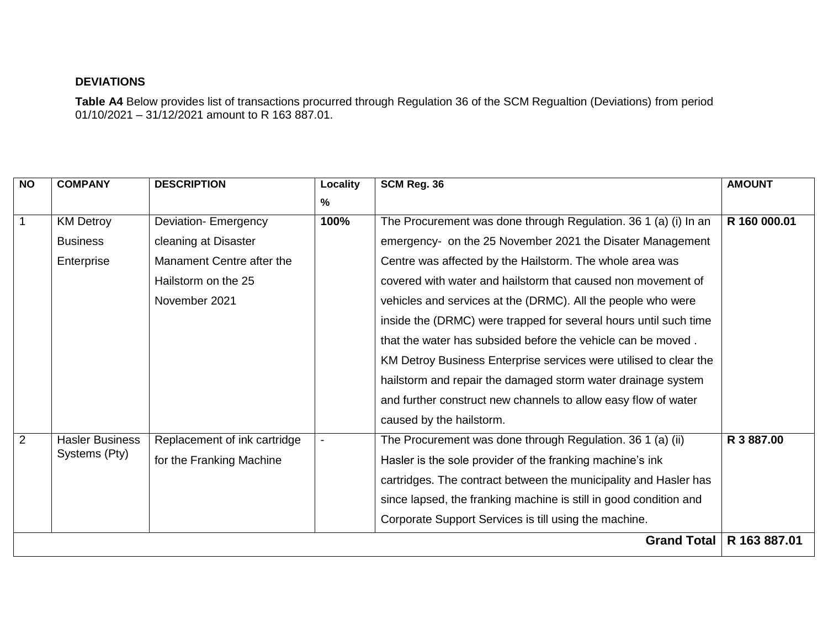## **DEVIATIONS**

**Table A4** Below provides list of transactions procurred through Regulation 36 of the SCM Regualtion (Deviations) from period 01/10/2021 – 31/12/2021 amount to R 163 887.01.

| N <sub>O</sub> | <b>COMPANY</b>         | <b>DESCRIPTION</b>           | Locality | SCM Reg. 36                                                       | <b>AMOUNT</b> |
|----------------|------------------------|------------------------------|----------|-------------------------------------------------------------------|---------------|
|                |                        |                              | %        |                                                                   |               |
| $\overline{1}$ | <b>KM Detroy</b>       | <b>Deviation-Emergency</b>   | 100%     | The Procurement was done through Regulation. 36 1 (a) (i) In an   | R 160 000.01  |
|                | <b>Business</b>        | cleaning at Disaster         |          | emergency- on the 25 November 2021 the Disater Management         |               |
|                | Enterprise             | Manament Centre after the    |          | Centre was affected by the Hailstorm. The whole area was          |               |
|                |                        | Hailstorm on the 25          |          | covered with water and hailstorm that caused non movement of      |               |
|                |                        | November 2021                |          | vehicles and services at the (DRMC). All the people who were      |               |
|                |                        |                              |          | inside the (DRMC) were trapped for several hours until such time  |               |
|                |                        |                              |          | that the water has subsided before the vehicle can be moved.      |               |
|                |                        |                              |          | KM Detroy Business Enterprise services were utilised to clear the |               |
|                |                        |                              |          | hailstorm and repair the damaged storm water drainage system      |               |
|                |                        |                              |          | and further construct new channels to allow easy flow of water    |               |
|                |                        |                              |          | caused by the hailstorm.                                          |               |
| $\overline{2}$ | <b>Hasler Business</b> | Replacement of ink cartridge |          | The Procurement was done through Regulation. 36 1 (a) (ii)        | R 3 887.00    |
|                | Systems (Pty)          | for the Franking Machine     |          | Hasler is the sole provider of the franking machine's ink         |               |
|                |                        |                              |          | cartridges. The contract between the municipality and Hasler has  |               |
|                |                        |                              |          | since lapsed, the franking machine is still in good condition and |               |
|                |                        |                              |          | Corporate Support Services is till using the machine.             |               |
|                |                        |                              |          | <b>Grand Total</b>                                                | R 163 887.01  |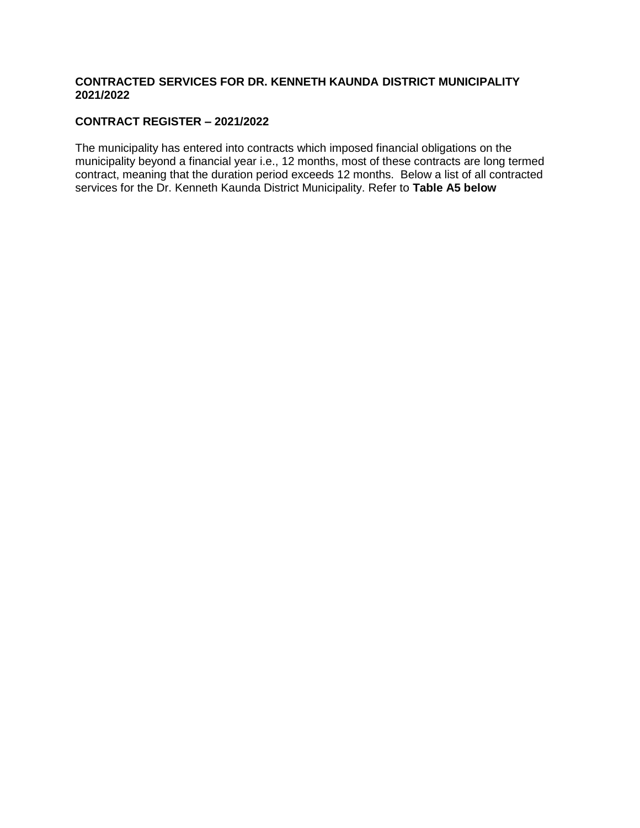#### **CONTRACTED SERVICES FOR DR. KENNETH KAUNDA DISTRICT MUNICIPALITY 2021/2022**

## **CONTRACT REGISTER – 2021/2022**

The municipality has entered into contracts which imposed financial obligations on the municipality beyond a financial year i.e., 12 months, most of these contracts are long termed contract, meaning that the duration period exceeds 12 months. Below a list of all contracted services for the Dr. Kenneth Kaunda District Municipality. Refer to **Table A5 below**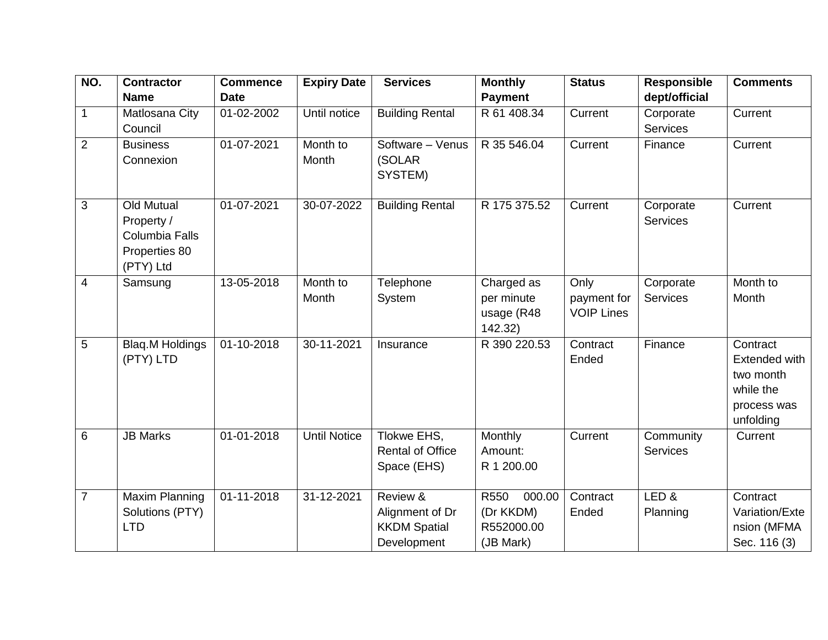| NO.            | <b>Contractor</b>                                                               | <b>Commence</b> | <b>Expiry Date</b>  | <b>Services</b>                                                   | <b>Monthly</b>                                         | <b>Status</b>                            | <b>Responsible</b>           | <b>Comments</b>                                                                 |
|----------------|---------------------------------------------------------------------------------|-----------------|---------------------|-------------------------------------------------------------------|--------------------------------------------------------|------------------------------------------|------------------------------|---------------------------------------------------------------------------------|
|                | <b>Name</b>                                                                     | <b>Date</b>     |                     |                                                                   | <b>Payment</b>                                         |                                          | dept/official                |                                                                                 |
| $\mathbf{1}$   | Matlosana City<br>Council                                                       | 01-02-2002      | Until notice        | <b>Building Rental</b>                                            | R 61 408.34                                            | Current                                  | Corporate<br><b>Services</b> | Current                                                                         |
| $\overline{2}$ | <b>Business</b><br>Connexion                                                    | 01-07-2021      | Month to<br>Month   | Software - Venus<br>(SOLAR<br>SYSTEM)                             | R 35 546.04                                            | Current                                  | Finance                      | Current                                                                         |
| 3              | <b>Old Mutual</b><br>Property /<br>Columbia Falls<br>Properties 80<br>(PTY) Ltd | 01-07-2021      | 30-07-2022          | <b>Building Rental</b>                                            | R 175 375.52                                           | Current                                  | Corporate<br><b>Services</b> | Current                                                                         |
| $\overline{4}$ | Samsung                                                                         | 13-05-2018      | Month to<br>Month   | Telephone<br>System                                               | Charged as<br>per minute<br>usage (R48<br>142.32)      | Only<br>payment for<br><b>VOIP Lines</b> | Corporate<br><b>Services</b> | Month to<br>Month                                                               |
| 5              | Blaq.M Holdings<br>(PTY) LTD                                                    | 01-10-2018      | 30-11-2021          | Insurance                                                         | R 390 220.53                                           | Contract<br>Ended                        | Finance                      | Contract<br>Extended with<br>two month<br>while the<br>process was<br>unfolding |
| $6\phantom{1}$ | <b>JB Marks</b>                                                                 | 01-01-2018      | <b>Until Notice</b> | Tlokwe EHS,<br><b>Rental of Office</b><br>Space (EHS)             | Monthly<br>Amount:<br>R 1 200.00                       | Current                                  | Community<br><b>Services</b> | Current                                                                         |
| $\overline{7}$ | Maxim Planning<br>Solutions (PTY)<br><b>LTD</b>                                 | 01-11-2018      | 31-12-2021          | Review &<br>Alignment of Dr<br><b>KKDM Spatial</b><br>Development | R550<br>000.00<br>(Dr KKDM)<br>R552000.00<br>(JB Mark) | Contract<br>Ended                        | LED&<br>Planning             | Contract<br>Variation/Exte<br>nsion (MFMA<br>Sec. 116 (3)                       |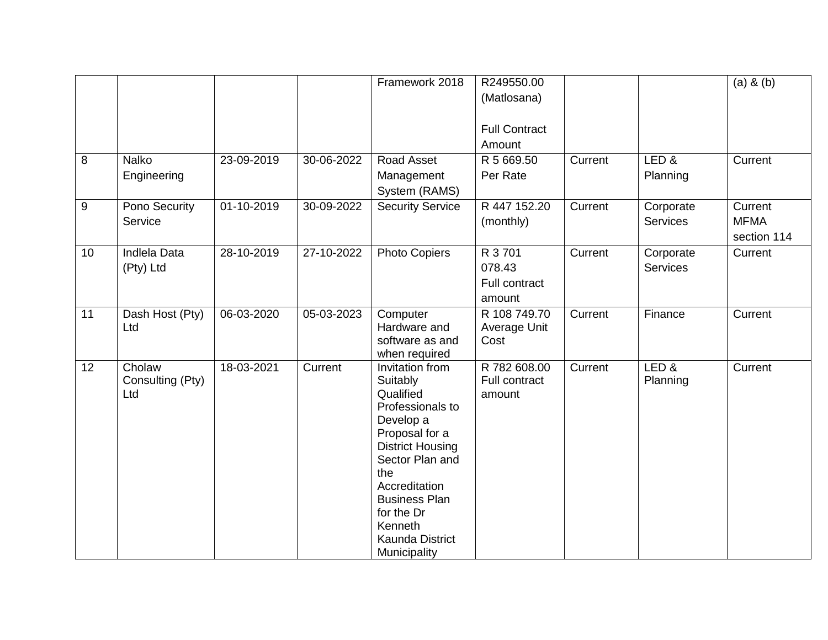|                 |                                   |            |            | Framework 2018                                                                                                                                                                                                                                        | R249550.00<br>(Matlosana)<br><b>Full Contract</b><br>Amount |         |                       | $(a)$ & $(b)$                         |
|-----------------|-----------------------------------|------------|------------|-------------------------------------------------------------------------------------------------------------------------------------------------------------------------------------------------------------------------------------------------------|-------------------------------------------------------------|---------|-----------------------|---------------------------------------|
| 8               | <b>Nalko</b><br>Engineering       | 23-09-2019 | 30-06-2022 | Road Asset<br>Management<br>System (RAMS)                                                                                                                                                                                                             | R 5 669.50<br>Per Rate                                      | Current | LED&<br>Planning      | Current                               |
| 9               | Pono Security<br>Service          | 01-10-2019 | 30-09-2022 | <b>Security Service</b>                                                                                                                                                                                                                               | R 447 152.20<br>(monthly)                                   | Current | Corporate<br>Services | Current<br><b>MFMA</b><br>section 114 |
| 10 <sup>1</sup> | <b>Indlela Data</b><br>(Pty) Ltd  | 28-10-2019 | 27-10-2022 | <b>Photo Copiers</b>                                                                                                                                                                                                                                  | R 3 701<br>078.43<br><b>Full contract</b><br>amount         | Current | Corporate<br>Services | Current                               |
| 11              | Dash Host (Pty)<br>Ltd            | 06-03-2020 | 05-03-2023 | Computer<br>Hardware and<br>software as and<br>when required                                                                                                                                                                                          | R 108 749.70<br>Average Unit<br>Cost                        | Current | Finance               | Current                               |
| 12              | Cholaw<br>Consulting (Pty)<br>Ltd | 18-03-2021 | Current    | Invitation from<br>Suitably<br>Qualified<br>Professionals to<br>Develop a<br>Proposal for a<br><b>District Housing</b><br>Sector Plan and<br>the<br>Accreditation<br><b>Business Plan</b><br>for the Dr<br>Kenneth<br>Kaunda District<br>Municipality | R 782 608.00<br>Full contract<br>amount                     | Current | LED&<br>Planning      | Current                               |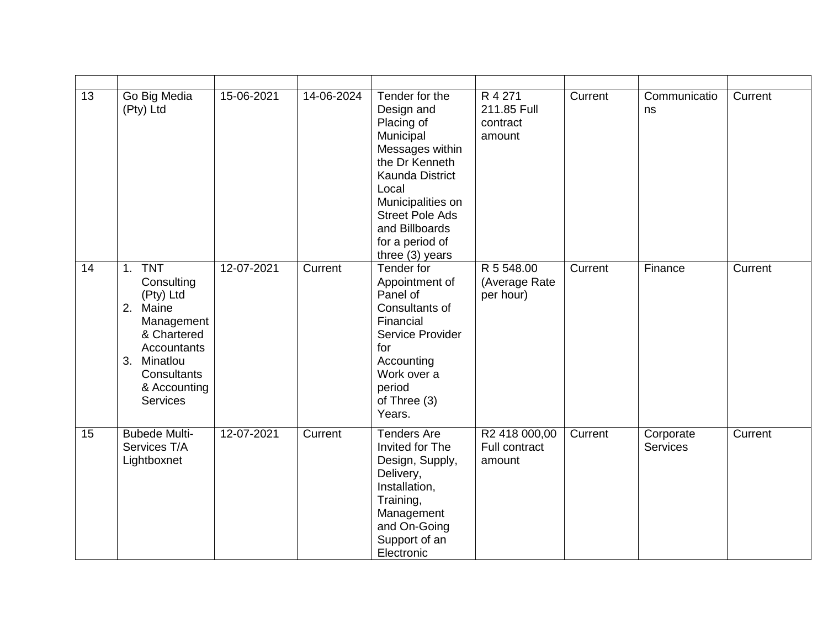| 13 | Go Big Media<br>(Pty) Ltd                                                                                                                                               | 15-06-2021 | 14-06-2024 | Tender for the<br>Design and<br>Placing of<br>Municipal<br>Messages within<br>the Dr Kenneth<br><b>Kaunda District</b><br>Local<br>Municipalities on<br><b>Street Pole Ads</b><br>and Billboards<br>for a period of<br>three (3) years | R 4 271<br>211.85 Full<br>contract<br>amount | Current | Communicatio<br>ns           | Current |
|----|-------------------------------------------------------------------------------------------------------------------------------------------------------------------------|------------|------------|----------------------------------------------------------------------------------------------------------------------------------------------------------------------------------------------------------------------------------------|----------------------------------------------|---------|------------------------------|---------|
| 14 | <b>TNT</b><br>1.<br>Consulting<br>(Pty) Ltd<br>2. Maine<br>Management<br>& Chartered<br>Accountants<br>Minatlou<br>3.<br>Consultants<br>& Accounting<br><b>Services</b> | 12-07-2021 | Current    | Tender for<br>Appointment of<br>Panel of<br>Consultants of<br>Financial<br>Service Provider<br>for<br>Accounting<br>Work over a<br>period<br>of Three (3)<br>Years.                                                                    | R 5 548.00<br>(Average Rate<br>per hour)     | Current | Finance                      | Current |
| 15 | <b>Bubede Multi-</b><br>Services T/A<br>Lightboxnet                                                                                                                     | 12-07-2021 | Current    | <b>Tenders Are</b><br>Invited for The<br>Design, Supply,<br>Delivery,<br>Installation,<br>Training,<br>Management<br>and On-Going<br>Support of an<br>Electronic                                                                       | R2 418 000,00<br>Full contract<br>amount     | Current | Corporate<br><b>Services</b> | Current |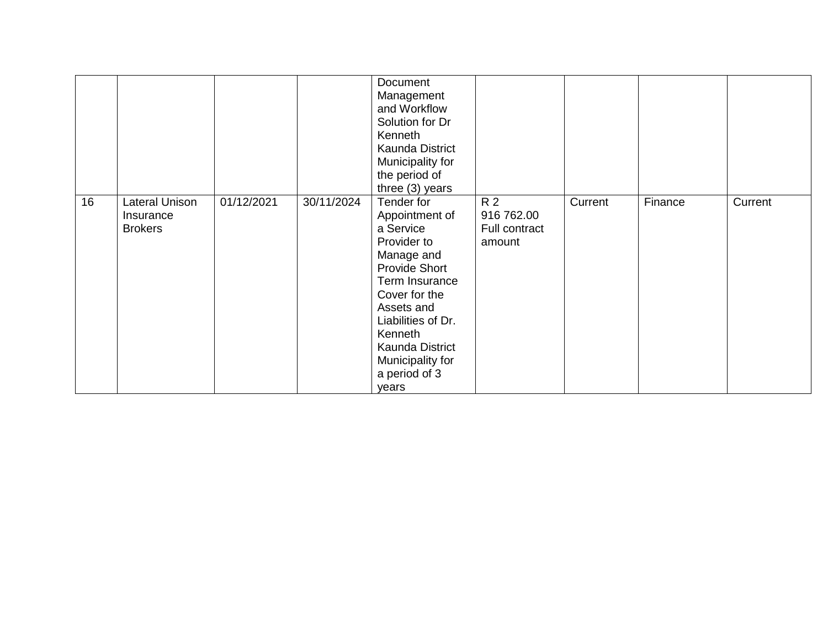|    |                                               |            |            | Document<br>Management<br>and Workflow<br>Solution for Dr<br>Kenneth<br>Kaunda District<br>Municipality for<br>the period of<br>three (3) years                                                                                                   |                                              |         |         |         |
|----|-----------------------------------------------|------------|------------|---------------------------------------------------------------------------------------------------------------------------------------------------------------------------------------------------------------------------------------------------|----------------------------------------------|---------|---------|---------|
| 16 | Lateral Unison<br>Insurance<br><b>Brokers</b> | 01/12/2021 | 30/11/2024 | Tender for<br>Appointment of<br>a Service<br>Provider to<br>Manage and<br><b>Provide Short</b><br>Term Insurance<br>Cover for the<br>Assets and<br>Liabilities of Dr.<br>Kenneth<br>Kaunda District<br>Municipality for<br>a period of 3<br>years | R 2<br>916 762.00<br>Full contract<br>amount | Current | Finance | Current |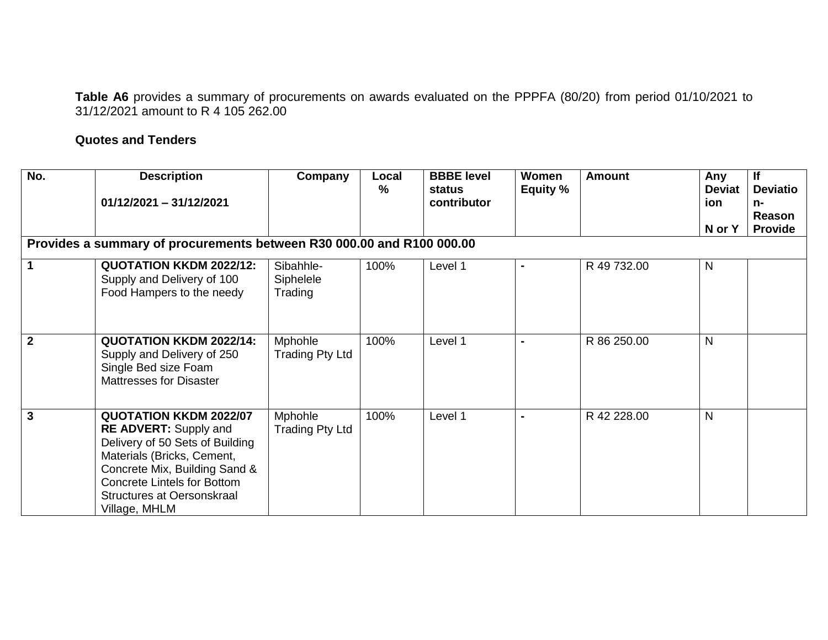**Table A6** provides a summary of procurements on awards evaluated on the PPPFA (80/20) from period 01/10/2021 to 31/12/2021 amount to R 4 105 262.00

## **Quotes and Tenders**

| No.                                                                   | <b>Description</b><br>$01/12/2021 - 31/12/2021$                                                                                                                                                                                                      | Company                           | Local<br>% | <b>BBBE</b> level<br>status<br>contributor | Women<br>Equity % | <b>Amount</b> | Any<br><b>Deviat</b><br>ion<br>N or Y | <b>If</b><br><b>Deviatio</b><br>n-<br><b>Reason</b><br><b>Provide</b> |
|-----------------------------------------------------------------------|------------------------------------------------------------------------------------------------------------------------------------------------------------------------------------------------------------------------------------------------------|-----------------------------------|------------|--------------------------------------------|-------------------|---------------|---------------------------------------|-----------------------------------------------------------------------|
| Provides a summary of procurements between R30 000.00 and R100 000.00 |                                                                                                                                                                                                                                                      |                                   |            |                                            |                   |               |                                       |                                                                       |
| 1                                                                     | <b>QUOTATION KKDM 2022/12:</b><br>Supply and Delivery of 100<br>Food Hampers to the needy                                                                                                                                                            | Sibahhle-<br>Siphelele<br>Trading | 100%       | Level 1                                    |                   | R 49 732.00   | $\mathsf{N}$                          |                                                                       |
| $\overline{2}$                                                        | <b>QUOTATION KKDM 2022/14:</b><br>Supply and Delivery of 250<br>Single Bed size Foam<br><b>Mattresses for Disaster</b>                                                                                                                               | Mphohle<br><b>Trading Pty Ltd</b> | 100%       | Level 1                                    |                   | R 86 250.00   | $\mathsf{N}$                          |                                                                       |
| $\mathbf{3}$                                                          | <b>QUOTATION KKDM 2022/07</b><br><b>RE ADVERT:</b> Supply and<br>Delivery of 50 Sets of Building<br>Materials (Bricks, Cement,<br>Concrete Mix, Building Sand &<br><b>Concrete Lintels for Bottom</b><br>Structures at Oersonskraal<br>Village, MHLM | Mphohle<br>Trading Pty Ltd        | 100%       | Level 1                                    |                   | R 42 228.00   | $\mathsf{N}$                          |                                                                       |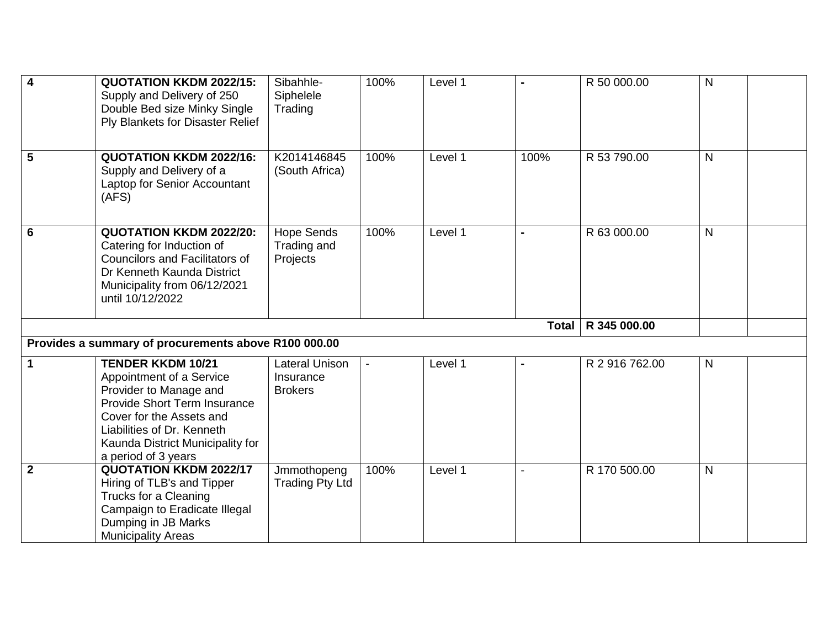| 4            | <b>QUOTATION KKDM 2022/15:</b><br>Supply and Delivery of 250<br>Double Bed size Minky Single<br>Ply Blankets for Disaster Relief                                                                                                    | Sibahhle-<br>Siphelele<br>Trading                    | 100% | Level 1 |              | R 50 000.00    | $\mathsf{N}$ |  |
|--------------|-------------------------------------------------------------------------------------------------------------------------------------------------------------------------------------------------------------------------------------|------------------------------------------------------|------|---------|--------------|----------------|--------------|--|
| 5            | <b>QUOTATION KKDM 2022/16:</b><br>Supply and Delivery of a<br>Laptop for Senior Accountant<br>(AFS)                                                                                                                                 | K2014146845<br>(South Africa)                        | 100% | Level 1 | 100%         | R 53 790.00    | $\mathsf{N}$ |  |
| 6            | <b>QUOTATION KKDM 2022/20:</b><br>Catering for Induction of<br><b>Councilors and Facilitators of</b><br>Dr Kenneth Kaunda District<br>Municipality from 06/12/2021<br>until 10/12/2022                                              | <b>Hope Sends</b><br>Trading and<br>Projects         | 100% | Level 1 |              | R 63 000.00    | N            |  |
|              |                                                                                                                                                                                                                                     |                                                      |      |         | <b>Total</b> | R 345 000.00   |              |  |
|              | Provides a summary of procurements above R100 000.00                                                                                                                                                                                |                                                      |      |         |              |                |              |  |
| 1            | <b>TENDER KKDM 10/21</b><br>Appointment of a Service<br>Provider to Manage and<br>Provide Short Term Insurance<br>Cover for the Assets and<br>Liabilities of Dr. Kenneth<br>Kaunda District Municipality for<br>a period of 3 years | <b>Lateral Unison</b><br>Insurance<br><b>Brokers</b> |      | Level 1 |              | R 2 916 762.00 | N            |  |
| $\mathbf{2}$ | <b>QUOTATION KKDM 2022/17</b><br>Hiring of TLB's and Tipper<br>Trucks for a Cleaning<br>Campaign to Eradicate Illegal<br>Dumping in JB Marks<br><b>Municipality Areas</b>                                                           | Jmmothopeng<br><b>Trading Pty Ltd</b>                | 100% | Level 1 |              | R 170 500.00   | $\mathsf{N}$ |  |